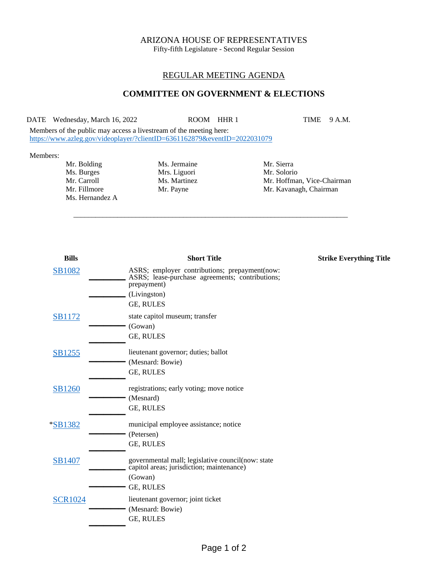# ARIZONA HOUSE OF REPRESENTATIVES

Fifty-fifth Legislature - Second Regular Session

## REGULAR MEETING AGENDA

## **COMMITTEE ON GOVERNMENT & ELECTIONS**

DATE Wednesday, March 16, 2022 ROOM HHR 1 TIME 9 A.M.

\_\_\_\_\_\_\_\_\_\_\_\_\_\_\_\_\_\_\_\_\_\_\_\_\_\_\_\_\_\_\_\_\_\_\_\_\_\_\_\_\_\_\_\_\_\_\_\_\_\_\_\_\_\_\_\_\_\_\_\_\_\_\_\_\_\_\_\_\_\_\_\_\_\_\_

Members of the public may access a livestream of the meeting here: <https://www.azleg.gov/videoplayer/?clientID=6361162879&eventID=2022031079>

#### Members:

Mr. Bolding Ms. Jermaine Mr. Sierra Ms. Burges Mrs. Liguori Mr. Solorio Mr. Solorio Mr. Carroll Ms. Martinez Mr. Hoffma Ms. Hernandez A

Mr. Hoffman, Vice-Chairman Mr. Fillmore Mr. Payne Mr. Payne Mr. Kavanagh, Chairman

| <b>Bills</b>   | <b>Short Title</b>                                                                                              | <b>Strike Everything Title</b> |
|----------------|-----------------------------------------------------------------------------------------------------------------|--------------------------------|
| <b>SB1082</b>  | ASRS; employer contributions; prepayment(now:<br>ASRS; lease-purchase agreements; contributions;<br>prepayment) |                                |
|                | (Livingston)                                                                                                    |                                |
|                | GE, RULES                                                                                                       |                                |
| <b>SB1172</b>  | state capitol museum; transfer                                                                                  |                                |
|                | (Gowan)                                                                                                         |                                |
|                | GE, RULES                                                                                                       |                                |
| SB1255         | lieutenant governor; duties; ballot                                                                             |                                |
|                | (Mesnard: Bowie)                                                                                                |                                |
|                | GE, RULES                                                                                                       |                                |
| SB1260         | registrations; early voting; move notice                                                                        |                                |
|                | (Mesnard)                                                                                                       |                                |
|                | GE, RULES                                                                                                       |                                |
| <i>*SB1382</i> | municipal employee assistance; notice                                                                           |                                |
|                | (Petersen)                                                                                                      |                                |
|                | GE, RULES                                                                                                       |                                |
| <b>SB1407</b>  | governmental mall; legislative council(now: state<br>capitol areas; jurisdiction; maintenance)                  |                                |
|                | (Gowan)                                                                                                         |                                |
|                | <b>GE, RULES</b>                                                                                                |                                |
| <b>SCR1024</b> | lieutenant governor; joint ticket                                                                               |                                |
|                | (Mesnard: Bowie)                                                                                                |                                |
|                | GE, RULES                                                                                                       |                                |
|                |                                                                                                                 |                                |